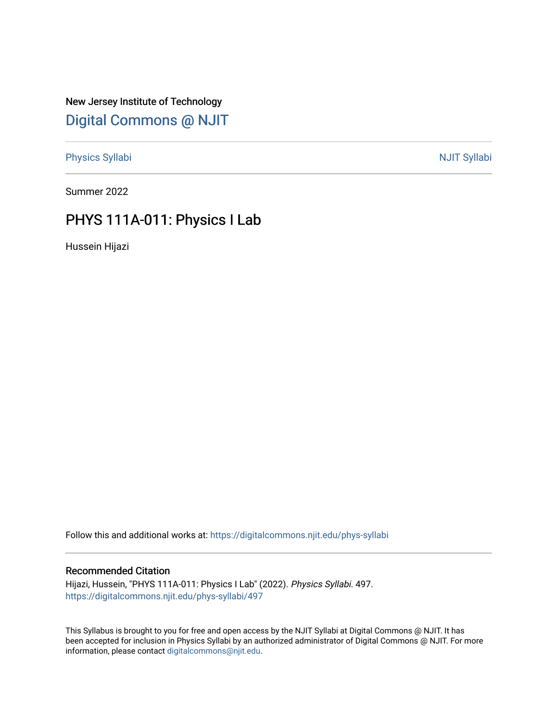New Jersey Institute of Technology [Digital Commons @ NJIT](https://digitalcommons.njit.edu/) 

[Physics Syllabi](https://digitalcommons.njit.edu/phys-syllabi) **NJIT Syllabi** [NJIT Syllabi](https://digitalcommons.njit.edu/syllabi) and the syllabidity of the syllabidity of the syllabidity of the syllabidity of the syllabidity of the syllabidity of the syllabidity of the syllabidity of the syllabidity of the

Summer 2022

# PHYS 111A-011: Physics I Lab

Hussein Hijazi

Follow this and additional works at: [https://digitalcommons.njit.edu/phys-syllabi](https://digitalcommons.njit.edu/phys-syllabi?utm_source=digitalcommons.njit.edu%2Fphys-syllabi%2F497&utm_medium=PDF&utm_campaign=PDFCoverPages) 

#### Recommended Citation

Hijazi, Hussein, "PHYS 111A-011: Physics I Lab" (2022). Physics Syllabi. 497. [https://digitalcommons.njit.edu/phys-syllabi/497](https://digitalcommons.njit.edu/phys-syllabi/497?utm_source=digitalcommons.njit.edu%2Fphys-syllabi%2F497&utm_medium=PDF&utm_campaign=PDFCoverPages) 

This Syllabus is brought to you for free and open access by the NJIT Syllabi at Digital Commons @ NJIT. It has been accepted for inclusion in Physics Syllabi by an authorized administrator of Digital Commons @ NJIT. For more information, please contact [digitalcommons@njit.edu.](mailto:digitalcommons@njit.edu)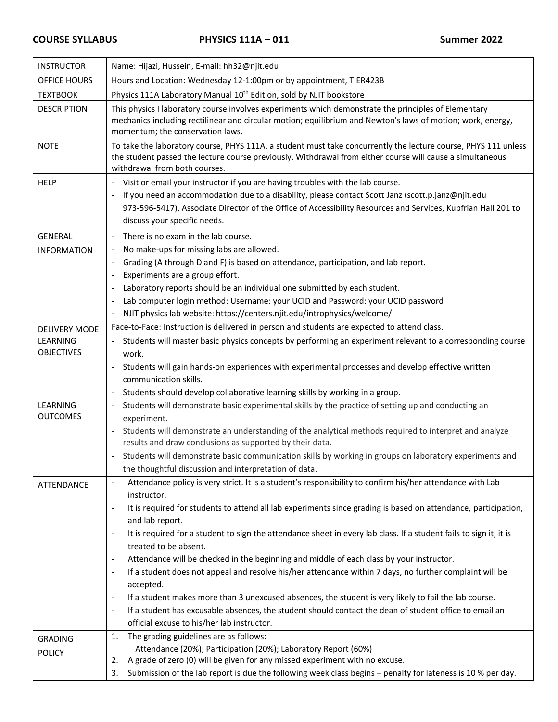| <b>INSTRUCTOR</b>             | Name: Hijazi, Hussein, E-mail: hh32@njit.edu                                                                                                                                                                                                                                                                                          |  |  |
|-------------------------------|---------------------------------------------------------------------------------------------------------------------------------------------------------------------------------------------------------------------------------------------------------------------------------------------------------------------------------------|--|--|
| <b>OFFICE HOURS</b>           | Hours and Location: Wednesday 12-1:00pm or by appointment, TIER423B                                                                                                                                                                                                                                                                   |  |  |
| <b>TEXTBOOK</b>               | Physics 111A Laboratory Manual 10 <sup>th</sup> Edition, sold by NJIT bookstore                                                                                                                                                                                                                                                       |  |  |
| <b>DESCRIPTION</b>            | This physics I laboratory course involves experiments which demonstrate the principles of Elementary<br>mechanics including rectilinear and circular motion; equilibrium and Newton's laws of motion; work, energy,<br>momentum; the conservation laws.                                                                               |  |  |
| <b>NOTE</b>                   | To take the laboratory course, PHYS 111A, a student must take concurrently the lecture course, PHYS 111 unless<br>the student passed the lecture course previously. Withdrawal from either course will cause a simultaneous<br>withdrawal from both courses.                                                                          |  |  |
| <b>HELP</b>                   | Visit or email your instructor if you are having troubles with the lab course.<br>If you need an accommodation due to a disability, please contact Scott Janz (scott.p.janz@njit.edu<br>973-596-5417), Associate Director of the Office of Accessibility Resources and Services, Kupfrian Hall 201 to<br>discuss your specific needs. |  |  |
| <b>GENERAL</b>                | There is no exam in the lab course.                                                                                                                                                                                                                                                                                                   |  |  |
| <b>INFORMATION</b>            | No make-ups for missing labs are allowed.<br>$\overline{\phantom{a}}$                                                                                                                                                                                                                                                                 |  |  |
|                               | Grading (A through D and F) is based on attendance, participation, and lab report.<br>$\blacksquare$                                                                                                                                                                                                                                  |  |  |
|                               | Experiments are a group effort.                                                                                                                                                                                                                                                                                                       |  |  |
|                               | Laboratory reports should be an individual one submitted by each student.                                                                                                                                                                                                                                                             |  |  |
|                               | Lab computer login method: Username: your UCID and Password: your UCID password<br>$\blacksquare$                                                                                                                                                                                                                                     |  |  |
|                               | NJIT physics lab website: https://centers.njit.edu/introphysics/welcome/                                                                                                                                                                                                                                                              |  |  |
| <b>DELIVERY MODE</b>          | Face-to-Face: Instruction is delivered in person and students are expected to attend class.                                                                                                                                                                                                                                           |  |  |
| LEARNING<br><b>OBJECTIVES</b> | Students will master basic physics concepts by performing an experiment relevant to a corresponding course<br>work.                                                                                                                                                                                                                   |  |  |
|                               | Students will gain hands-on experiences with experimental processes and develop effective written<br>$\blacksquare$                                                                                                                                                                                                                   |  |  |
|                               | communication skills.                                                                                                                                                                                                                                                                                                                 |  |  |
|                               | Students should develop collaborative learning skills by working in a group.                                                                                                                                                                                                                                                          |  |  |
| LEARNING                      | Students will demonstrate basic experimental skills by the practice of setting up and conducting an                                                                                                                                                                                                                                   |  |  |
| <b>OUTCOMES</b>               | experiment.                                                                                                                                                                                                                                                                                                                           |  |  |
|                               | Students will demonstrate an understanding of the analytical methods required to interpret and analyze<br>$\blacksquare$                                                                                                                                                                                                              |  |  |
|                               | results and draw conclusions as supported by their data.                                                                                                                                                                                                                                                                              |  |  |
|                               | Students will demonstrate basic communication skills by working in groups on laboratory experiments and                                                                                                                                                                                                                               |  |  |
|                               | the thoughtful discussion and interpretation of data.                                                                                                                                                                                                                                                                                 |  |  |
| ATTENDANCE                    | Attendance policy is very strict. It is a student's responsibility to confirm his/her attendance with Lab<br>$\overline{\phantom{a}}$                                                                                                                                                                                                 |  |  |
|                               | instructor.                                                                                                                                                                                                                                                                                                                           |  |  |
|                               | It is required for students to attend all lab experiments since grading is based on attendance, participation,<br>$\overline{\phantom{a}}$                                                                                                                                                                                            |  |  |
|                               | and lab report.<br>It is required for a student to sign the attendance sheet in every lab class. If a student fails to sign it, it is                                                                                                                                                                                                 |  |  |
|                               | $\qquad \qquad \blacksquare$<br>treated to be absent.                                                                                                                                                                                                                                                                                 |  |  |
|                               | Attendance will be checked in the beginning and middle of each class by your instructor.                                                                                                                                                                                                                                              |  |  |
|                               | If a student does not appeal and resolve his/her attendance within 7 days, no further complaint will be<br>$\overline{\phantom{a}}$                                                                                                                                                                                                   |  |  |
|                               | accepted.                                                                                                                                                                                                                                                                                                                             |  |  |
|                               | If a student makes more than 3 unexcused absences, the student is very likely to fail the lab course.<br>$\overline{\phantom{a}}$                                                                                                                                                                                                     |  |  |
|                               | If a student has excusable absences, the student should contact the dean of student office to email an<br>$\qquad \qquad \blacksquare$                                                                                                                                                                                                |  |  |
|                               | official excuse to his/her lab instructor.                                                                                                                                                                                                                                                                                            |  |  |
| <b>GRADING</b>                | The grading guidelines are as follows:<br>1.                                                                                                                                                                                                                                                                                          |  |  |
| <b>POLICY</b>                 | Attendance (20%); Participation (20%); Laboratory Report (60%)                                                                                                                                                                                                                                                                        |  |  |
|                               | A grade of zero (0) will be given for any missed experiment with no excuse.<br>2.                                                                                                                                                                                                                                                     |  |  |
|                               | Submission of the lab report is due the following week class begins - penalty for lateness is 10 % per day.<br>3.                                                                                                                                                                                                                     |  |  |